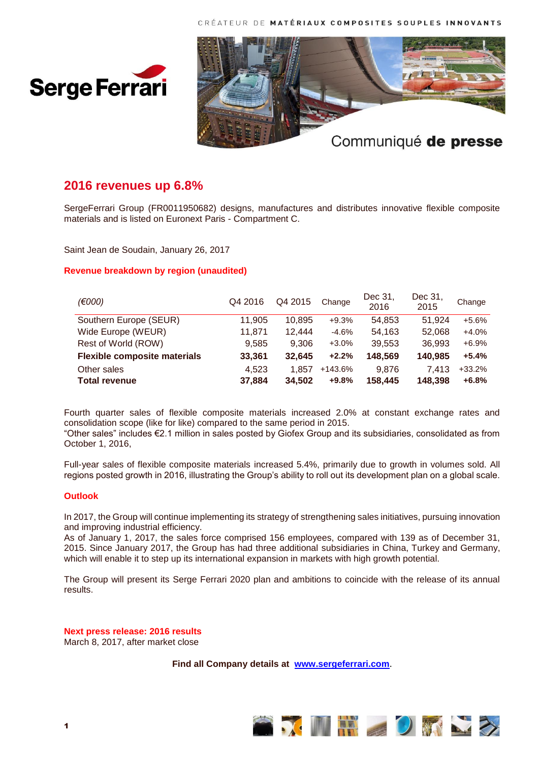CRÉATEUR DE MATÉRIAUX COMPOSITES SOUPLES INNOVANTS





# **2016 revenues up 6.8%**

SergeFerrari Group (FR0011950682) designs, manufactures and distributes innovative flexible composite materials and is listed on Euronext Paris - Compartment C.

Saint Jean de Soudain, January 26, 2017

## **Revenue breakdown by region (unaudited)**

| (E000)                              | Q4 2016 | Q4 2015 | Change    | Dec 31,<br>2016 | Dec 31,<br>2015 | Change   |
|-------------------------------------|---------|---------|-----------|-----------------|-----------------|----------|
| Southern Europe (SEUR)              | 11,905  | 10,895  | $+9.3%$   | 54.853          | 51.924          | $+5.6%$  |
| Wide Europe (WEUR)                  | 11,871  | 12,444  | $-4.6%$   | 54,163          | 52,068          | $+4.0%$  |
| Rest of World (ROW)                 | 9,585   | 9.306   | $+3.0%$   | 39,553          | 36,993          | $+6.9%$  |
| <b>Flexible composite materials</b> | 33,361  | 32,645  | $+2.2%$   | 148,569         | 140,985         | $+5.4%$  |
| Other sales                         | 4,523   | 1.857   | $+143.6%$ | 9.876           | 7.413           | $+33.2%$ |
| <b>Total revenue</b>                | 37,884  | 34.502  | $+9.8%$   | 158,445         | 148.398         | $+6.8%$  |

Fourth quarter sales of flexible composite materials increased 2.0% at constant exchange rates and consolidation scope (like for like) compared to the same period in 2015.

"Other sales" includes €2.1 million in sales posted by Giofex Group and its subsidiaries, consolidated as from October 1, 2016,

Full-year sales of flexible composite materials increased 5.4%, primarily due to growth in volumes sold. All regions posted growth in 2016, illustrating the Group's ability to roll out its development plan on a global scale.

## **Outlook**

In 2017, the Group will continue implementing its strategy of strengthening sales initiatives, pursuing innovation and improving industrial efficiency.

As of January 1, 2017, the sales force comprised 156 employees, compared with 139 as of December 31, 2015. Since January 2017, the Group has had three additional subsidiaries in China, Turkey and Germany, which will enable it to step up its international expansion in markets with high growth potential.

The Group will present its Serge Ferrari 2020 plan and ambitions to coincide with the release of its annual results.

**Next press release: 2016 results** March 8, 2017, after market close

## **Find all Company details at [www.sergeferrari.com](http://www.sergeferrari.com/)**.